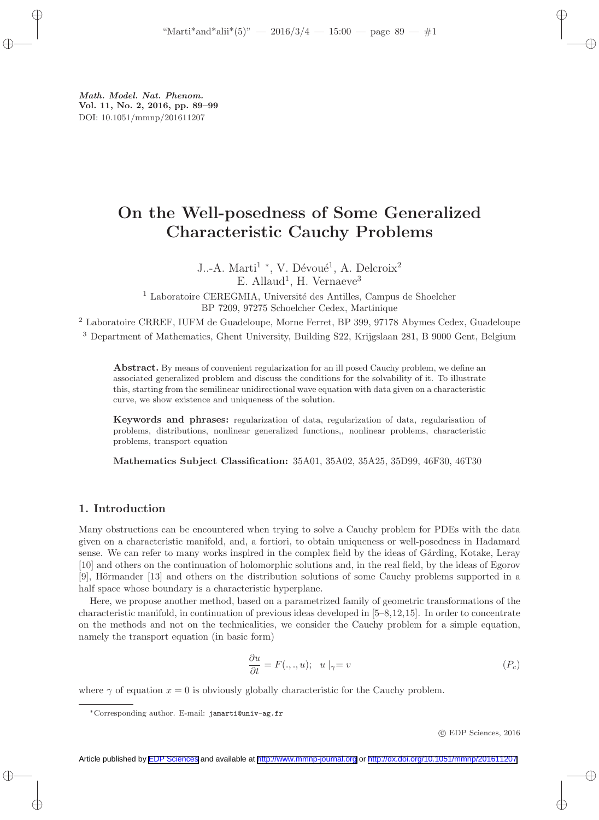# On the Well-posedness of Some Generalized Characteristic Cauchy Problems

J..-A. Marti<sup>1</sup> <sup>\*</sup>, V. Dévoué<sup>1</sup>, A. Delcroix<sup>2</sup>  $E.$  Allaud<sup>1</sup>, H. Vernaeve<sup>3</sup>

 $1$  Laboratoire CEREGMIA, Université des Antilles, Campus de Shoelcher BP 7209, 97275 Schoelcher Cedex, Martinique

<sup>2</sup> Laboratoire CRREF, IUFM de Guadeloupe, Morne Ferret, BP 399, 97178 Abymes Cedex, Guadeloupe <sup>3</sup> Department of Mathematics, Ghent University, Building S22, Krijgslaan 281, B 9000 Gent, Belgium

Abstract. By means of convenient regularization for an ill posed Cauchy problem, we define an associated generalized problem and discuss the conditions for the solvability of it. To illustrate this, starting from the semilinear unidirectional wave equation with data given on a characteristic curve, we show existence and uniqueness of the solution.

Keywords and phrases: regularization of data, regularization of data, regularisation of problems, distributions, nonlinear generalized functions,, nonlinear problems, characteristic problems, transport equation

Mathematics Subject Classification: 35A01, 35A02, 35A25, 35D99, 46F30, 46T30

# 1. Introduction

Many obstructions can be encountered when trying to solve a Cauchy problem for PDEs with the data given on a characteristic manifold, and, a fortiori, to obtain uniqueness or well-posedness in Hadamard sense. We can refer to many works inspired in the complex field by the ideas of Gårding, Kotake, Leray [10] and others on the continuation of holomorphic solutions and, in the real field, by the ideas of Egorov [9], Hörmander [13] and others on the distribution solutions of some Cauchy problems supported in a half space whose boundary is a characteristic hyperplane.

Here, we propose another method, based on a parametrized family of geometric transformations of the characteristic manifold, in continuation of previous ideas developed in [5–8,12,15]. In order to concentrate on the methods and not on the technicalities, we consider the Cauchy problem for a simple equation, namely the transport equation (in basic form)

$$
\frac{\partial u}{\partial t} = F(.,.,u); \quad u \mid_{\gamma} = v \tag{P_c}
$$

where  $\gamma$  of equation  $x = 0$  is obviously globally characteristic for the Cauchy problem.

c EDP Sciences, 2016

<sup>∗</sup>Corresponding author. E-mail: jamarti@univ-ag.fr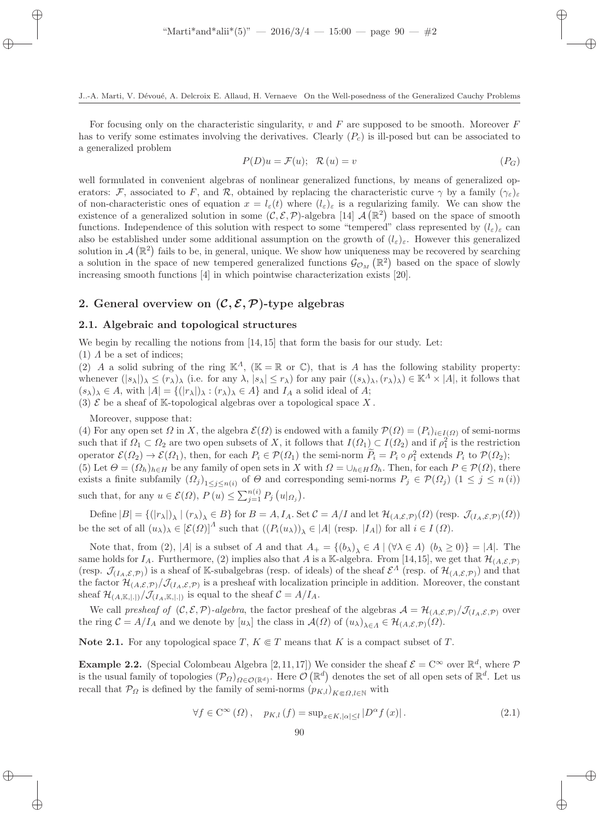For focusing only on the characteristic singularity, v and F are supposed to be smooth. Moreover F has to verify some estimates involving the derivatives. Clearly  $(P<sub>c</sub>)$  is ill-posed but can be associated to a generalized problem

$$
P(D)u = \mathcal{F}(u); \quad \mathcal{R}(u) = v \tag{P_G}
$$

well formulated in convenient algebras of nonlinear generalized functions, by means of generalized operators: F, associated to F, and R, obtained by replacing the characteristic curve  $\gamma$  by a family  $(\gamma_{\varepsilon})_{\varepsilon}$ of non-characteristic ones of equation  $x = l_{\varepsilon}(t)$  where  $(l_{\varepsilon})_{\varepsilon}$  is a regularizing family. We can show the existence of a generalized solution in some  $(C, \mathcal{E}, \mathcal{P})$ -algebra [14]  $\mathcal{A}(\mathbb{R}^2)$  based on the space of smooth functions. Independence of this solution with respect to some "tempered" class represented by  $(l_{\varepsilon})_{\varepsilon}$  can also be established under some additional assumption on the growth of  $(l_{\varepsilon})_{\varepsilon}$ . However this generalized solution in  $\mathcal{A}(\mathbb{R}^2)$  fails to be, in general, unique. We show how uniqueness may be recovered by searching a solution in the space of new tempered generalized functions  $\mathcal{G}_{\mathcal{O}_M}(\mathbb{R}^2)$  based on the space of slowly increasing smooth functions [4] in which pointwise characterization exists [20].

# 2. General overview on  $(C, \mathcal{E}, \mathcal{P})$ -type algebras

#### 2.1. Algebraic and topological structures

We begin by recalling the notions from [14, 15] that form the basis for our study. Let:

(1)  $\Lambda$  be a set of indices;

(2) A a solid subring of the ring  $\mathbb{K}^A$ , ( $\mathbb{K} = \mathbb{R}$  or  $\mathbb{C}$ ), that is A has the following stability property: whenever  $(|s_\lambda|)_\lambda \leq (r_\lambda)_\lambda$  (i.e. for any  $\lambda, |s_\lambda| \leq r_\lambda$ ) for any pair  $((s_\lambda)_\lambda, (r_\lambda)_\lambda) \in \mathbb{K}^\Lambda \times |A|$ , it follows that  $(s_{\lambda})_{\lambda} \in A$ , with  $|A| = \{(|r_{\lambda}|)_{\lambda} : (r_{\lambda})_{\lambda} \in A\}$  and  $I_A$  a solid ideal of A;

(3)  $\mathcal E$  be a sheaf of K-topological algebras over a topological space X.

Moreover, suppose that:

(4) For any open set  $\Omega$  in X, the algebra  $\mathcal{E}(\Omega)$  is endowed with a family  $\mathcal{P}(\Omega) = (P_i)_{i \in I(\Omega)}$  of semi-norms such that if  $\Omega_1 \subset \Omega_2$  are two open subsets of X, it follows that  $I(\Omega_1) \subset I(\Omega_2)$  and if  $\rho_1^2$  is the restriction operator  $\mathcal{E}(\Omega_2) \to \mathcal{E}(\Omega_1)$ , then, for each  $P_i \in \mathcal{P}(\Omega_1)$  the semi-norm  $P_i = P_i \circ \rho_1^2$  extends  $P_i$  to  $\mathcal{P}(\Omega_2)$ ; (5) Let  $\Theta = (\Omega_h)_{h \in H}$  be any family of open sets in X with  $\Omega = \bigcup_{h \in H} \Omega_h$ . Then, for each  $P \in \mathcal{P}(\Omega)$ , there exists a finite subfamily  $(Q_j)_{1 \leq j \leq n(i)}$  of  $\Theta$  and corresponding semi-norms  $P_j \in \mathcal{P}(\Omega_j)$   $(1 \leq j \leq n(i))$ such that, for any  $u \in \mathcal{E}(\Omega)$ ,  $P(u) \le \sum_{j=1}^{n(i)} P_j(u|_{\Omega_j})$ .

Define  $|B| = \{(|r_{\lambda}|)_{\lambda} | (r_{\lambda})_{\lambda} \in B\}$  for  $B = A, I_A$ . Set  $\mathcal{C} = A/I$  and let  $\mathcal{H}_{(A,\mathcal{E},\mathcal{P})}(\Omega)$  (resp.  $\mathcal{J}_{(I_A,\mathcal{E},\mathcal{P})}(\Omega)$ ) be the set of all  $(u_\lambda)_\lambda \in [\mathcal{E}(\Omega)]^A$  such that  $((P_i(u_\lambda))_\lambda \in |A|$  (resp.  $|I_A|$ ) for all  $i \in I(\Omega)$ .

Note that, from (2), |A| is a subset of A and that  $A_+ = \{ (b_\lambda)_\lambda \in A \mid (\forall \lambda \in \Lambda) \ (b_\lambda \geq 0) \} = |A|$ . The same holds for  $I_A$ . Furthermore, (2) implies also that A is a K-algebra. From [14,15], we get that  $\mathcal{H}_{(A,\mathcal{E},\mathcal{P})}$ (resp.  $\mathcal{J}_{(I_A,\mathcal{E},\mathcal{P})}$ ) is a sheaf of K-subalgebras (resp. of ideals) of the sheaf  $\mathcal{E}^A$  (resp. of  $\mathcal{H}_{(A,\mathcal{E},\mathcal{P})}$ ) and that the factor  $\mathcal{H}_{(A,\mathcal{E},\mathcal{P})}/\mathcal{J}_{(I_A,\mathcal{E},\mathcal{P})}$  is a presheaf with localization principle in addition. Moreover, the constant sheaf  $\mathcal{H}_{(A,\mathbb{K},|.|)} / \mathcal{J}_{(I_A,\mathbb{K},|.|)}$  is equal to the sheaf  $\mathcal{C} = A / I_A$ .

We call presheaf of  $(C, \mathcal{E}, \mathcal{P})$ -algebra, the factor presheaf of the algebras  $\mathcal{A} = \mathcal{H}_{(A, \mathcal{E}, \mathcal{P})}/\mathcal{J}_{(I_A, \mathcal{E}, \mathcal{P})}$  over the ring  $C = A/I_A$  and we denote by  $[u_\lambda]$  the class in  $\mathcal{A}(\Omega)$  of  $(u_\lambda)_{\lambda \in \Lambda} \in \mathcal{H}_{A,\mathcal{E},\mathcal{P}}(\Omega)$ .

Note 2.1. For any topological space  $T, K \in T$  means that K is a compact subset of T.

**Example 2.2.** (Special Colombeau Algebra [2,11,17]) We consider the sheaf  $\mathcal{E} = \mathbb{C}^{\infty}$  over  $\mathbb{R}^{d}$ , where  $\mathcal{P}$ is the usual family of topologies  $(\mathcal{P}_{\Omega})_{\Omega \in \mathcal{O}(\mathbb{R}^d)}$ . Here  $\mathcal{O}(\mathbb{R}^d)$  denotes the set of all open sets of  $\mathbb{R}^d$ . Let us recall that  $\mathcal{P}_{\Omega}$  is defined by the family of semi-norms  $(p_{K,l})_{K\subset\Omega}$  l∈N with

$$
\forall f \in \mathcal{C}^{\infty}(\Omega), \quad p_{K,l}(f) = \sup_{x \in K, |\alpha| \le l} |D^{\alpha} f(x)|. \tag{2.1}
$$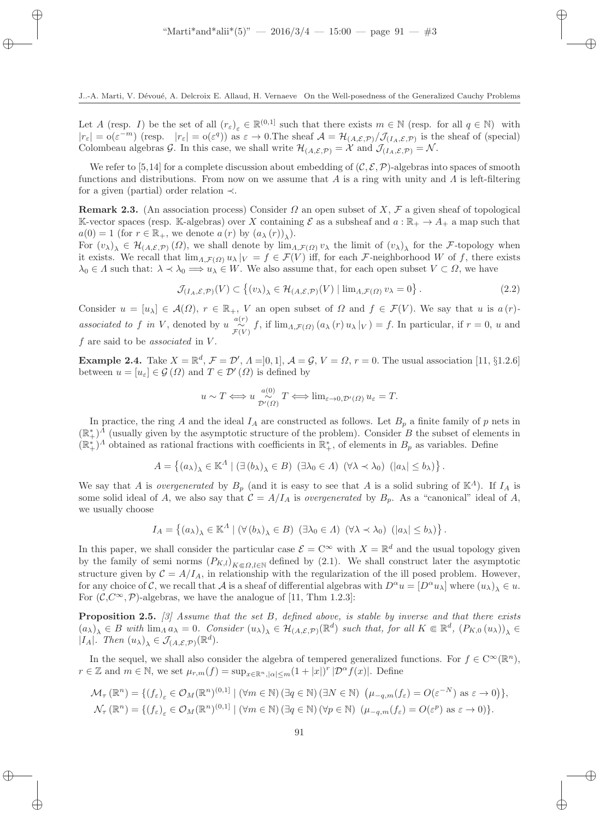Let A (resp. I) be the set of all  $(r_{\varepsilon})_{\varepsilon} \in \mathbb{R}^{(0,1]}$  such that there exists  $m \in \mathbb{N}$  (resp. for all  $q \in \mathbb{N}$ ) with  $|r_{\varepsilon}| = o(\varepsilon^{-m})$  (resp.  $|r_{\varepsilon}| = o(\varepsilon^{q})$ ) as  $\varepsilon \to 0$ . The sheaf  $\mathcal{A} = \mathcal{H}_{(A,\mathcal{E},\mathcal{P})}/\mathcal{J}_{(I_{A},\mathcal{E},\mathcal{P})}$  is the sheaf of (special) Colombeau algebras G. In this case, we shall write  $\mathcal{H}_{(A,\mathcal{E},\mathcal{P})} = \mathcal{X}$  and  $\mathcal{J}_{(I_A,\mathcal{E},\mathcal{P})} = \mathcal{N}$ .

We refer to [5,14] for a complete discussion about embedding of  $(C, \mathcal{E}, \mathcal{P})$ -algebras into spaces of smooth functions and distributions. From now on we assume that A is a ring with unity and  $\Lambda$  is left-filtering for a given (partial) order relation ≺.

**Remark 2.3.** (An association process) Consider  $\Omega$  an open subset of X,  $\mathcal F$  a given sheaf of topological K-vector spaces (resp. K-algebras) over X containing  $\mathcal E$  as a subsheaf and  $a : \mathbb{R}_+ \to A_+$  a map such that  $a(0) = 1$  (for  $r \in \mathbb{R}_+$ , we denote  $a(r)$  by  $(a_\lambda(r))_\lambda$ ).

For  $(v_\lambda)_\lambda \in \mathcal{H}_{(A,\mathcal{E},\mathcal{P})}(\Omega)$ , we shall denote by  $\lim_{A,\mathcal{F}(\Omega)} v_\lambda$  the limit of  $(v_\lambda)_\lambda$  for the F-topology when it exists. We recall that  $\lim_{A,\mathcal{F}(\Omega)} u_\lambda |_V = f \in \mathcal{F}(V)$  iff, for each F-neighborhood W of f, there exists  $\lambda_0 \in \Lambda$  such that:  $\lambda \prec \lambda_0 \Longrightarrow u_\lambda \in W$ . We also assume that, for each open subset  $V \subset \Omega$ , we have

$$
\mathcal{J}_{(I_A,\mathcal{E},\mathcal{P})}(V) \subset \left\{ (v_\lambda)_\lambda \in \mathcal{H}_{(A,\mathcal{E},\mathcal{P})}(V) \mid \lim_{\Lambda,\mathcal{F}(\Omega)} v_\lambda = 0 \right\}. \tag{2.2}
$$

Consider  $u = [u_{\lambda}] \in \mathcal{A}(\Omega)$ ,  $r \in \mathbb{R}_+$ , V an open subset of  $\Omega$  and  $f \in \mathcal{F}(V)$ . We say that u is  $a(r)$ associated to f in V, denoted by  $u \frac{a(v)}{f(v)} f$ , if  $\lim_{\Lambda,\mathcal{F}(\Omega)} (a_\lambda(r) u_\lambda|_V) = f$ . In particular, if  $r = 0$ , u and  $f$  are said to be *associated* in  $V$ .

**Example 2.4.** Take  $X = \mathbb{R}^d$ ,  $\mathcal{F} = \mathcal{D}'$ ,  $\Lambda = ]0,1]$ ,  $\mathcal{A} = \mathcal{G}$ ,  $V = \Omega$ ,  $r = 0$ . The usual association [11, §1.2.6] between  $u = [u_{\varepsilon}] \in \mathcal{G}(\Omega)$  and  $T \in \mathcal{D}'(\Omega)$  is defined by

$$
u \sim T \Longleftrightarrow u \underset{\mathcal{D}'(\Omega)}{\sim} T \Longleftrightarrow \lim_{\varepsilon \to 0, \mathcal{D}'(\Omega)} u_{\varepsilon} = T.
$$

In practice, the ring A and the ideal  $I_A$  are constructed as follows. Let  $B_p$  a finite family of p nets in  $(\mathbb{R}^*_+)^\Lambda$  (usually given by the asymptotic structure of the problem). Consider B the subset of elements in  $(\mathbb{R}^*_+)^A$  obtained as rational fractions with coefficients in  $\mathbb{R}^*_+$ , of elements in  $B_p$  as variables. Define

$$
A = \left\{ (a_{\lambda})_{\lambda} \in \mathbb{K}^{\Lambda} \mid (\exists (b_{\lambda})_{\lambda} \in B) \ (\exists \lambda_0 \in \Lambda) \ (\forall \lambda \prec \lambda_0) \ (|a_{\lambda}| \le b_{\lambda}) \right\}.
$$

We say that A is overgenerated by  $B_p$  (and it is easy to see that A is a solid subring of  $\mathbb{K}^A$ ). If  $I_A$  is some solid ideal of A, we also say that  $C = A/I_A$  is *overgenerated* by  $B_p$ . As a "canonical" ideal of A, we usually choose

$$
I_A = \left\{ (a_\lambda)_\lambda \in \mathbb{K}^A \mid (\forall (b_\lambda)_\lambda \in B) \ (\exists \lambda_0 \in \Lambda) \ (\forall \lambda \prec \lambda_0) \ (|a_\lambda| \le b_\lambda) \right\}.
$$

In this paper, we shall consider the particular case  $\mathcal{E} = \mathbb{C}^{\infty}$  with  $X = \mathbb{R}^d$  and the usual topology given by the family of semi norms  $(P_{K,l})_{K \in \Omega, l \in \mathbb{N}}$  defined by (2.1). We shall construct later the asymptotic structure given by  $C = A/I_A$ , in relationship with the regularization of the ill posed problem. However, for any choice of C, we recall that A is a sheaf of differential algebras with  $D^{\alpha}u = [D^{\alpha}u_{\lambda}]$  where  $(u_{\lambda})_{\lambda} \in u$ . For  $(C, C^{\infty}, \mathcal{P})$ -algebras, we have the analogue of [11, Thm 1.2.3]:

**Proposition 2.5.** [3] Assume that the set B, defined above, is stable by inverse and that there exists  $(a_\lambda)_\lambda \in B$  with  $\lim_A a_\lambda = 0$ . Consider  $(u_\lambda)_\lambda \in \mathcal{H}_{(A,\mathcal{E},\mathcal{P})}(\mathbb{R}^d)$  such that, for all  $K \in \mathbb{R}^d$ ,  $(P_{K,0}(u_\lambda))_\lambda \in B$ | $I_A$ |. Then  $(u_\lambda)_\lambda \in \mathcal{J}_{(A,\mathcal{E},\mathcal{P})}(\mathbb{R}^d)$ .

In the sequel, we shall also consider the algebra of tempered generalized functions. For  $f \in C^{\infty}(\mathbb{R}^n)$ ,  $r \in \mathbb{Z}$  and  $m \in \mathbb{N}$ , we set  $\mu_{r,m}(f) = \sup_{x \in \mathbb{R}^n, |\alpha| \le m} (1 + |x|)^r |\mathcal{D}^{\alpha} f(x)|$ . Define

$$
\mathcal{M}_{\tau}(\mathbb{R}^n) = \{ (f_{\varepsilon})_{\varepsilon} \in \mathcal{O}_M(\mathbb{R}^n)^{(0,1]} \mid (\forall m \in \mathbb{N}) \left( \exists q \in \mathbb{N} \right) (\exists N \in \mathbb{N}) \left( \mu_{-q,m}(f_{\varepsilon}) = O(\varepsilon^{-N}) \text{ as } \varepsilon \to 0 \right) \},
$$
  

$$
\mathcal{N}_{\tau}(\mathbb{R}^n) = \{ (f_{\varepsilon})_{\varepsilon} \in \mathcal{O}_M(\mathbb{R}^n)^{(0,1]} \mid (\forall m \in \mathbb{N}) \left( \exists q \in \mathbb{N} \right) (\forall p \in \mathbb{N}) \left( \mu_{-q,m}(f_{\varepsilon}) = O(\varepsilon^p) \text{ as } \varepsilon \to 0 \right) \}.
$$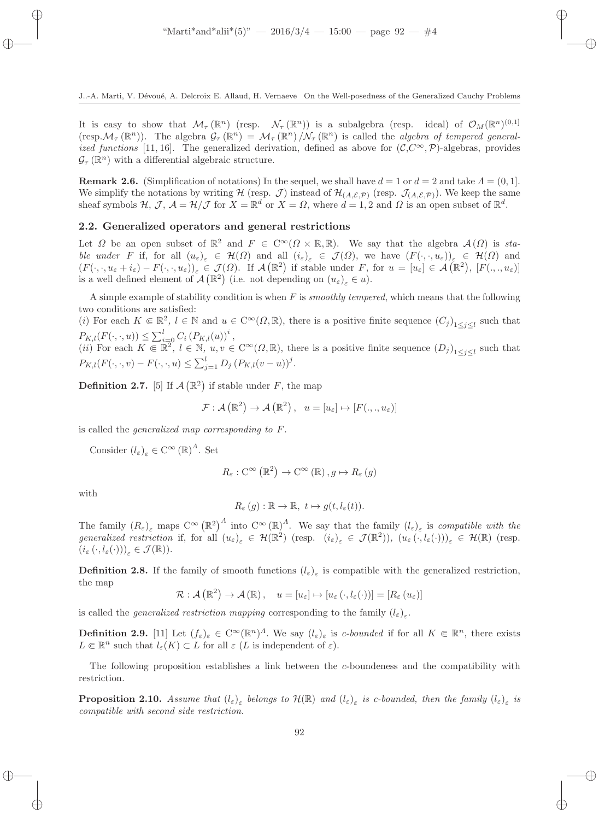It is easy to show that  $\mathcal{M}_{\tau}(\mathbb{R}^n)$  (resp.  $\mathcal{N}_{\tau}(\mathbb{R}^n)$ ) is a subalgebra (resp. ideal) of  $\mathcal{O}_M(\mathbb{R}^n)^{(0,1]}$ (resp.  $\mathcal{M}_{\tau}(\mathbb{R}^n)$ ). The algebra  $\mathcal{G}_{\tau}(\mathbb{R}^n) = \mathcal{M}_{\tau}(\mathbb{R}^n) / \mathcal{N}_{\tau}(\mathbb{R}^n)$  is called the *algebra of tempered general*ized functions [11, 16]. The generalized derivation, defined as above for  $(\mathcal{C}, \mathcal{C}^{\infty}, \mathcal{P})$ -algebras, provides  $\mathcal{G}_{\tau}(\mathbb{R}^n)$  with a differential algebraic structure.

**Remark 2.6.** (Simplification of notations) In the sequel, we shall have  $d = 1$  or  $d = 2$  and take  $\Lambda = (0, 1]$ . We simplify the notations by writing  $\mathcal{H}$  (resp.  $\mathcal{J}$ ) instead of  $\mathcal{H}_{(A,\mathcal{E},\mathcal{P})}$  (resp.  $\mathcal{J}_{(A,\mathcal{E},\mathcal{P})}$ ). We keep the same sheaf symbols  $H, \mathcal{J}, A = \mathcal{H}/\mathcal{J}$  for  $X = \mathbb{R}^d$  or  $X = \Omega$ , where  $d = 1, 2$  and  $\Omega$  is an open subset of  $\mathbb{R}^d$ .

# 2.2. Generalized operators and general restrictions

Let  $\Omega$  be an open subset of  $\mathbb{R}^2$  and  $F \in C^{\infty}(\Omega \times \mathbb{R}, \mathbb{R})$ . We say that the algebra  $\mathcal{A}(\Omega)$  is stable under F if, for all  $(u_{\varepsilon})_{\varepsilon} \in \mathcal{H}(\Omega)$  and all  $(i_{\varepsilon})_{\varepsilon} \in \mathcal{J}(\Omega)$ , we have  $(F(\cdot,\cdot,u_{\varepsilon}))_{\varepsilon} \in \mathcal{H}(\Omega)$  and  $(F(\cdot,\cdot,u_{\varepsilon}+i_{\varepsilon})-F(\cdot,\cdot,u_{\varepsilon}))_{\varepsilon}\in \mathcal{J}(\Omega)$ . If  $\mathcal{A}(\mathbb{R}^2)$  if stable under F, for  $u=[u_{\varepsilon}]\in \mathcal{A}(\mathbb{R}^2)$ ,  $[F(\cdot,\cdot,u_{\varepsilon})]$ is a well defined element of  $\mathcal{A}(\mathbb{R}^2)$  (i.e. not depending on  $(u_\varepsilon)_\varepsilon \in u$ ).

A simple example of stability condition is when  $F$  is *smoothly tempered*, which means that the following two conditions are satisfied:

(i) For each  $K \in \mathbb{R}^2$ ,  $l \in \mathbb{N}$  and  $u \in C^{\infty}(\Omega, \mathbb{R})$ , there is a positive finite sequence  $(C_j)_{1 \leq j \leq l}$  such that  $P_{K,l}(F(\cdot,\cdot,u)) \leq \sum_{i=0}^{l} C_i (P_{K,l}(u))^i,$ 

(*ii*) For each  $K \in \mathbb{R}^2$ ,  $l \in \mathbb{N}$ ,  $u, v \in \mathbb{C}^\infty(\Omega, \mathbb{R})$ , there is a positive finite sequence  $(D_j)_{1 \leq j \leq l}$  such that  $P_{K,l}(F(\cdot,\cdot,v) - F(\cdot,\cdot,u) \leq \sum_{j=1}^{l} D_j (P_{K,l}(v-u))^j$ .

**Definition 2.7.** [5] If  $\mathcal{A}(\mathbb{R}^2)$  if stable under F, the map

$$
\mathcal{F}: \mathcal{A}(\mathbb{R}^2) \to \mathcal{A}(\mathbb{R}^2), \quad u = [u_{\varepsilon}] \mapsto [F(.,.,u_{\varepsilon})]
$$

is called the generalized map corresponding to F.

Consider  $(l_{\varepsilon})_{\varepsilon} \in C^{\infty}(\mathbb{R})^{\Lambda}$ . Set

$$
R_{\varepsilon}: \mathcal{C}^{\infty}\left(\mathbb{R}^{2}\right) \to \mathcal{C}^{\infty}\left(\mathbb{R}\right), g \mapsto R_{\varepsilon}\left(g\right)
$$

with

$$
R_{\varepsilon}(g): \mathbb{R} \to \mathbb{R}, \ t \mapsto g(t, l_{\varepsilon}(t)).
$$

The family  $(R_{\varepsilon})_{\varepsilon}$  maps  $C^{\infty}(\mathbb{R}^2)^{\Lambda}$  into  $C^{\infty}(\mathbb{R})^{\Lambda}$ . We say that the family  $(l_{\varepsilon})_{\varepsilon}$  is compatible with the generalized restriction if, for all  $(u_{\varepsilon})_{\varepsilon} \in \mathcal{H}(\mathbb{R}^2)$  (resp.  $(i_{\varepsilon})_{\varepsilon} \in \mathcal{J}(\mathbb{R}^2)$ ),  $(u_{\varepsilon}(\cdot, l_{\varepsilon}(\cdot)))_{\varepsilon} \in \mathcal{H}(\mathbb{R})$  (resp.  $(i_{\varepsilon}(\cdot, l_{\varepsilon}(\cdot)))_{\varepsilon} \in \mathcal{J}(\mathbb{R}).$ 

**Definition 2.8.** If the family of smooth functions  $(l_{\varepsilon})_{\varepsilon}$  is compatible with the generalized restriction, the map

$$
\mathcal{R}: \mathcal{A}(\mathbb{R}^2) \to \mathcal{A}(\mathbb{R}), \quad u = [u_{\varepsilon}] \mapsto [u_{\varepsilon}(\cdot, l_{\varepsilon}(\cdot))] = [R_{\varepsilon}(u_{\varepsilon})]
$$

is called the *generalized restriction mapping* corresponding to the family  $(l_{\varepsilon})_{\varepsilon}$ .

**Definition 2.9.** [11] Let  $(f_{\varepsilon})_{\varepsilon} \in C^{\infty}(\mathbb{R}^n)^{\Lambda}$ . We say  $(l_{\varepsilon})_{\varepsilon}$  is c-bounded if for all  $K \in \mathbb{R}^n$ , there exists  $L \in \mathbb{R}^n$  such that  $l_{\varepsilon}(K) \subset L$  for all  $\varepsilon$  (L is independent of  $\varepsilon$ ).

The following proposition establishes a link between the c-boundeness and the compatibility with restriction.

**Proposition 2.10.** Assume that  $(l_\varepsilon)_{\varepsilon}$  belongs to  $\mathcal{H}(\mathbb{R})$  and  $(l_\varepsilon)_{\varepsilon}$  is c-bounded, then the family  $(l_\varepsilon)_{\varepsilon}$  is compatible with second side restriction.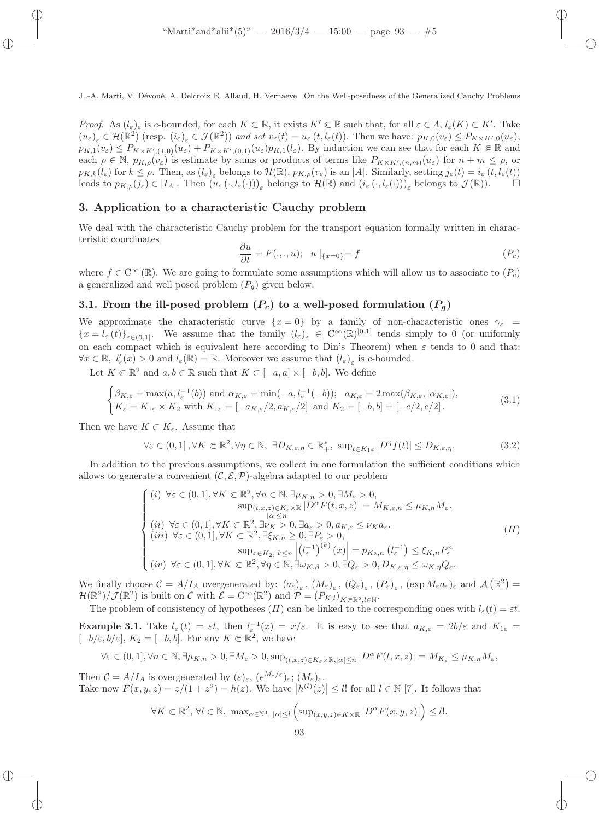Proof. As  $(l_{\varepsilon})_{\varepsilon}$  is c-bounded, for each  $K \in \mathbb{R}$ , it exists  $K' \in \mathbb{R}$  such that, for all  $\varepsilon \in \Lambda$ ,  $l_{\varepsilon}(K) \subset K'$ . Take  $(u_{\varepsilon})_{\varepsilon} \in \mathcal{H}(\mathbb{R}^2)$  (resp.  $(i_{\varepsilon})_{\varepsilon} \in \mathcal{J}(\mathbb{R}^2)$ ) and set  $v_{\varepsilon}(t) = u_{\varepsilon}(t, l_{\varepsilon}(t))$ . Then we have:  $p_{K,0}(v_{\varepsilon}) \leq P_{K \times K',0}(u_{\varepsilon})$ ,  $p_{K,1}(v_{\varepsilon}) \leq P_{K \times K', (1,0)}(u_{\varepsilon}) + P_{K \times K', (0,1)}(u_{\varepsilon}) p_{K,1}(l_{\varepsilon}).$  By induction we can see that for each  $K \in \mathbb{R}$  and each  $\rho \in \mathbb{N}$ ,  $p_{K,\rho}(v_{\varepsilon})$  is estimate by sums or products of terms like  $P_{K\times K',(n,m)}(u_{\varepsilon})$  for  $n+m\leq\rho$ , or  $p_{K,k}(l_{\varepsilon})$  for  $k \leq \rho$ . Then, as  $(l_{\varepsilon})_{\varepsilon}$  belongs to  $\mathcal{H}(\mathbb{R})$ ,  $p_{K,\rho}(v_{\varepsilon})$  is an  $|A|$ . Similarly, setting  $j_{\varepsilon}(t) = i_{\varepsilon}(t, l_{\varepsilon}(t))$ leads to  $p_{K,\rho}(j_{\varepsilon}) \in |I_A|$ . Then  $(u_{\varepsilon}(\cdot, l_{\varepsilon}(\cdot)))_{\varepsilon}$  belongs to  $\mathcal{H}(\mathbb{R})$  and  $(i_{\varepsilon}(\cdot, l_{\varepsilon}(\cdot)))_{\varepsilon}$  belongs to  $\mathcal{J}(\mathbb{R})$ .

### 3. Application to a characteristic Cauchy problem

We deal with the characteristic Cauchy problem for the transport equation formally written in characteristic coordinates

$$
\frac{\partial u}{\partial t} = F(.,.,u); \quad u \mid_{\{x=0\}} = f \tag{P_c}
$$

where  $f \in C^{\infty}(\mathbb{R})$ . We are going to formulate some assumptions which will allow us to associate to  $(P_c)$ a generalized and well posed problem  $(P_q)$  given below.

# 3.1. From the ill-posed problem  $(P_c)$  to a well-posed formulation  $(P_q)$

We approximate the characteristic curve  $\{x=0\}$  by a family of non-characteristic ones  $\gamma_{\varepsilon}$  =  ${x = l_\varepsilon(t)}_{\varepsilon(0,1]}$ . We assume that the family  $(l_\varepsilon)_{\varepsilon} \in C^\infty(\mathbb{R})^{[0,1]}$  tends simply to 0 (or uniformly on each compact which is equivalent here according to Din's Theorem) when  $\varepsilon$  tends to 0 and that:  $\forall x \in \mathbb{R}, \ l'_{\varepsilon}(x) > 0 \text{ and } l_{\varepsilon}(\mathbb{R}) = \mathbb{R}.$  Moreover we assume that  $(l_{\varepsilon})_{\varepsilon}$  is c-bounded.

Let  $K \in \mathbb{R}^2$  and  $a, b \in \mathbb{R}$  such that  $K \subset [-a, a] \times [-b, b]$ . We define

$$
\begin{cases}\n\beta_{K,\varepsilon} = \max(a, l_{\varepsilon}^{-1}(b)) \text{ and } \alpha_{K,\varepsilon} = \min(-a, l_{\varepsilon}^{-1}(-b)); & a_{K,\varepsilon} = 2 \max(\beta_{K,\varepsilon}, |\alpha_{K,\varepsilon}|), \\
K_{\varepsilon} = K_{1\varepsilon} \times K_{2} \text{ with } K_{1\varepsilon} = [-a_{K,\varepsilon}/2, a_{K,\varepsilon}/2] \text{ and } K_{2} = [-b, b] = [-c/2, c/2].\n\end{cases}
$$
\n(3.1)

Then we have  $K \subset K_{\varepsilon}$ . Assume that

$$
\forall \varepsilon \in (0,1], \forall K \in \mathbb{R}^2, \forall \eta \in \mathbb{N}, \ \exists D_{K,\varepsilon,\eta} \in \mathbb{R}_+^*, \ \sup_{t \in K_1 \varepsilon} |D^\eta f(t)| \le D_{K,\varepsilon,\eta}.\tag{3.2}
$$

In addition to the previous assumptions, we collect in one formulation the sufficient conditions which allows to generate a convenient  $(C, \mathcal{E}, \mathcal{P})$ -algebra adapted to our problem

$$
\begin{cases}\n(i) \forall \varepsilon \in (0,1], \forall K \in \mathbb{R}^2, \forall n \in \mathbb{N}, \exists \mu_{K,n} > 0, \exists M_{\varepsilon} > 0, \\
\sup_{(t,x,z) \in K_{\varepsilon} \times \mathbb{R}} |D^{\alpha}F(t,x,z)| = M_{K,\varepsilon,n} \le \mu_{K,n}M_{\varepsilon}.\n\end{cases}
$$
\n
$$
(ii) \forall \varepsilon \in (0,1], \forall K \in \mathbb{R}^2, \exists \nu_K > 0, \exists a_{\varepsilon} > 0, a_{K,\varepsilon} \le \nu_K a_{\varepsilon}.\n\tag{H}
$$
\n
$$
(iii) \forall \varepsilon \in (0,1], \forall K \in \mathbb{R}^2, \exists \xi_{K,n} \ge 0, \exists P_{\varepsilon} > 0,\n\sup_{x \in K_2, k \le n} \left| \left( l_{\varepsilon}^{-1} \right)^{(k)}(x) \right| = p_{K_2,n} \left( l_{\varepsilon}^{-1} \right) \le \xi_{K,n} P_{\varepsilon}^n
$$
\n
$$
(iv) \forall \varepsilon \in (0,1], \forall K \in \mathbb{R}^2, \forall \eta \in \mathbb{N}, \exists \omega_{K,\beta} > 0, \exists Q_{\varepsilon} > 0, D_{K,\varepsilon,\eta} \le \omega_{K,\eta} Q_{\varepsilon}.\n\end{cases}
$$

We finally choose  $\mathcal{C} = A/I_A$  overgenerated by:  $(a_{\varepsilon})_{\varepsilon}$ ,  $(M_{\varepsilon})_{\varepsilon}$ ,  $(Q_{\varepsilon})_{\varepsilon}$ ,  $(P_{\varepsilon})_{\varepsilon}$ ,  $(\exp M_{\varepsilon}a_{\varepsilon})_{\varepsilon}$  and  $\mathcal{A}(\mathbb{R}^2)$  $\mathcal{H}(\mathbb{R}^2)/\mathcal{J}(\mathbb{R}^2)$  is built on C with  $\mathcal{E} = C^{\infty}(\mathbb{R}^2)$  and  $\mathcal{P} = (P_{K,l})_{K \in \mathbb{R}^2, l \in \mathbb{N}}$ .

The problem of consistency of hypotheses  $(H)$  can be linked to the corresponding ones with  $l_{\varepsilon}(t) = \varepsilon t$ . **Example 3.1.** Take  $l_{\varepsilon}(t) = \varepsilon t$ , then  $l_{\varepsilon}(x) = x/\varepsilon$ . It is easy to see that  $a_{K,\varepsilon} = 2b/\varepsilon$  and  $K_{1\varepsilon} =$  $[-b/\varepsilon, b/\varepsilon], K_2 = [-b, b].$  For any  $K \in \mathbb{R}^2$ , we have

$$
\forall \varepsilon \in (0,1], \forall n \in \mathbb{N}, \exists \mu_{K,n} > 0, \exists M_{\varepsilon} > 0, \sup_{(t,x,z) \in K_{\varepsilon} \times \mathbb{R}, |\alpha| \le n} |D^{\alpha} F(t,x,z)| = M_{K_{\varepsilon}} \le \mu_{K,n} M_{\varepsilon},
$$

Then  $C = A/I_A$  is overgenerated by  $(\varepsilon)_{\varepsilon}$ ,  $(e^{M_{\varepsilon}/\varepsilon})_{\varepsilon}$ ;  $(M_{\varepsilon})_{\varepsilon}$ . Take now  $F(x, y, z) = z/(1 + z^2) = h(z)$ . We have  $|h^{(l)}(z)| \leq l!$  for all  $l \in \mathbb{N}$  [7]. It follows that

$$
\forall K \in \mathbb{R}^2, \forall l \in \mathbb{N}, \ \max_{\alpha \in \mathbb{N}^3, \ |\alpha| \le l} \left( \sup_{(x,y,z) \in K \times \mathbb{R}} |D^{\alpha} F(x,y,z)| \right) \le l!.
$$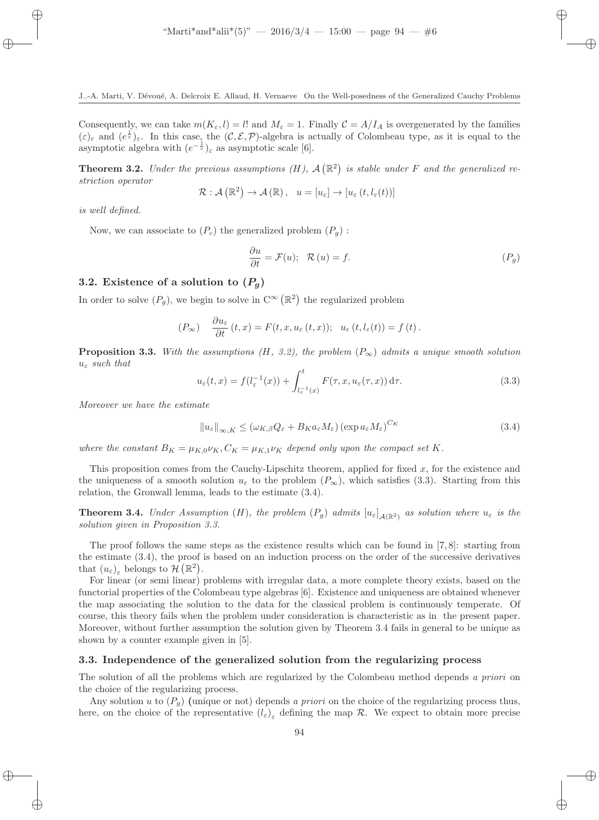Consequently, we can take  $m(K_{\varepsilon}, l) = l!$  and  $M_{\varepsilon} = 1$ . Finally  $C = A/I_A$  is overgenerated by the families  $(\varepsilon)_{\varepsilon}$  and  $(e^{\frac{1}{\varepsilon}})_{\varepsilon}$ . In this case, the  $(C, \mathcal{E}, \mathcal{P})$ -algebra is actually of Colombeau type, as it is equal to the asymptotic algebra with  $(e^{-\frac{1}{\varepsilon}})_{\varepsilon}$  as asymptotic scale [6].

**Theorem 3.2.** Under the previous assumptions  $(H)$ ,  $\mathcal{A}(\mathbb{R}^2)$  is stable under F and the generalized restriction operator

$$
\mathcal{R}: \mathcal{A}(\mathbb{R}^2) \to \mathcal{A}(\mathbb{R}), \quad u = [u_{\varepsilon}] \to [u_{\varepsilon}(t, l_{\varepsilon}(t))]
$$

is well defined.

Now, we can associate to  $(P_c)$  the generalized problem  $(P_q)$ :

$$
\frac{\partial u}{\partial t} = \mathcal{F}(u); \quad \mathcal{R}(u) = f. \tag{P_g}
$$

#### 3.2. Existence of a solution to  $(P_q)$

In order to solve  $(P_g)$ , we begin to solve in  $C^{\infty}(\mathbb{R}^2)$  the regularized problem

$$
(P_{\infty}) \quad \frac{\partial u_{\varepsilon}}{\partial t} (t, x) = F(t, x, u_{\varepsilon} (t, x)); \quad u_{\varepsilon} (t, l_{\varepsilon} (t)) = f (t).
$$

**Proposition 3.3.** With the assumptions (H, 3.2), the problem  $(P_{\infty})$  admits a unique smooth solution  $u_{\varepsilon}$  such that

$$
u_{\varepsilon}(t,x) = f(l_{\varepsilon}^{-1}(x)) + \int_{l_{\varepsilon}^{-1}(x)}^{t} F(\tau, x, u_{\varepsilon}(\tau, x)) d\tau.
$$
 (3.3)

Moreover we have the estimate

$$
||u_{\varepsilon}||_{\infty,K} \leq (\omega_{K,\beta}Q_{\varepsilon} + B_K a_{\varepsilon}M_{\varepsilon}) (\exp a_{\varepsilon}M_{\varepsilon})^{C_K}
$$
\n(3.4)

where the constant  $B_K = \mu_{K,0} \nu_K$ ,  $C_K = \mu_{K,1} \nu_K$  depend only upon the compact set K.

This proposition comes from the Cauchy-Lipschitz theorem, applied for fixed  $x$ , for the existence and the uniqueness of a smooth solution  $u_{\varepsilon}$  to the problem  $(P_{\infty})$ , which satisfies (3.3). Starting from this relation, the Gronwall lemma, leads to the estimate (3.4).

**Theorem 3.4.** Under Assumption (H), the problem  $(P_g)$  admits  $[u_\varepsilon]_{\mathcal{A}(\mathbb{R}^2)}$  as solution where  $u_\varepsilon$  is the solution given in Proposition 3.3.

The proof follows the same steps as the existence results which can be found in  $[7, 8]$ : starting from the estimate (3.4), the proof is based on an induction process on the order of the successive derivatives that  $(u_{\varepsilon})_{\varepsilon}$  belongs to  $\mathcal{H}(\mathbb{R}^2)$ .

For linear (or semi linear) problems with irregular data, a more complete theory exists, based on the functorial properties of the Colombeau type algebras [6]. Existence and uniqueness are obtained whenever the map associating the solution to the data for the classical problem is continuously temperate. Of course, this theory fails when the problem under consideration is characteristic as in the present paper. Moreover, without further assumption the solution given by Theorem 3.4 fails in general to be unique as shown by a counter example given in [5].

#### 3.3. Independence of the generalized solution from the regularizing process

The solution of all the problems which are regularized by the Colombeau method depends a priori on the choice of the regularizing process.

Any solution u to  $(P_q)$  (unique or not) depends a priori on the choice of the regularizing process thus, here, on the choice of the representative  $(l_{\varepsilon})_{\varepsilon}$  defining the map  $\mathcal{R}$ . We expect to obtain more precise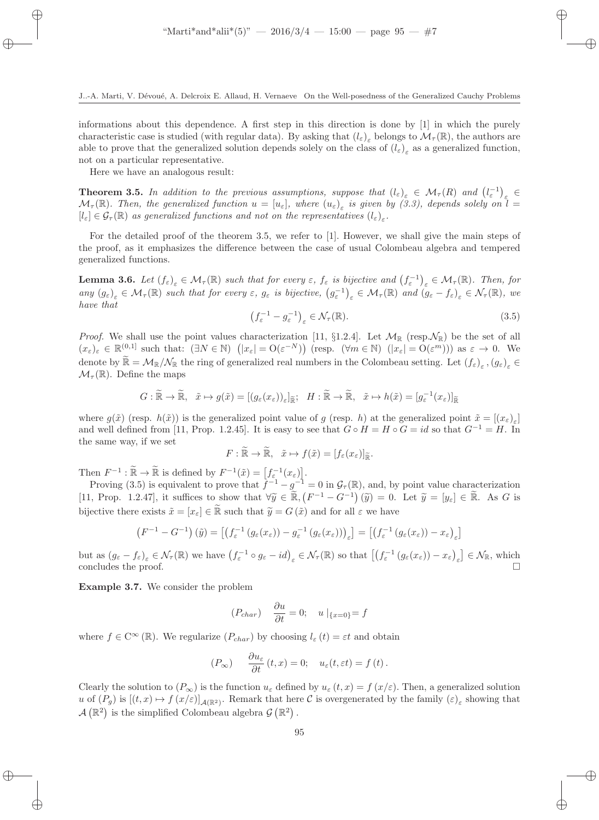informations about this dependence. A first step in this direction is done by [1] in which the purely characteristic case is studied (with regular data). By asking that  $(l_{\varepsilon})_{\varepsilon}$  belongs to  $\mathcal{M}_{\tau}(\mathbb{R})$ , the authors are able to prove that the generalized solution depends solely on the class of  $(l_{\varepsilon})_{\varepsilon}$  as a generalized function, not on a particular representative.

Here we have an analogous result:

**Theorem 3.5.** In addition to the previous assumptions, suppose that  $(l_{\varepsilon})_{\varepsilon} \in M_{\tau}(R)$  and  $(l_{\varepsilon}^{-1})_{\varepsilon} \in L_{\varepsilon}$  $\mathcal{M}_{\tau}(\mathbb{R})$ . Then, the generalized function  $u = [u_{\varepsilon}]$ , where  $(u_{\varepsilon})_{\varepsilon}$  is given by (3.3), depends solely on  $l =$  $[l_{\varepsilon}] \in \mathcal{G}_{\tau}(\mathbb{R})$  as generalized functions and not on the representatives  $(l_{\varepsilon})_{\varepsilon}$ .

For the detailed proof of the theorem 3.5, we refer to [1]. However, we shall give the main steps of the proof, as it emphasizes the difference between the case of usual Colombeau algebra and tempered generalized functions.

**Lemma 3.6.** Let  $(f_{\varepsilon})_{\varepsilon} \in M_{\tau}(\mathbb{R})$  such that for every  $\varepsilon$ ,  $f_{\varepsilon}$  is bijective and  $(f_{\varepsilon}^{-1})_{\varepsilon} \in M_{\tau}(\mathbb{R})$ . Then, for  $\lim_{\delta \to 0} \frac{\partial^{\delta} \mathcal{L}}{\partial s} \in \mathcal{M}_{\tau}(\mathbb{R})$  such that for every  $\varepsilon$ ,  $g_{\varepsilon}$  is bijective,  $(g_{\varepsilon}^{-1})_{\varepsilon} \in \mathcal{M}_{\tau}(\mathbb{R})$  and  $(g_{\varepsilon} - f_{\varepsilon})_{\varepsilon} \in \mathcal{N}_{\tau}(\mathbb{R})$ , we have that

$$
\left(f_{\varepsilon}^{-1} - g_{\varepsilon}^{-1}\right)_{\varepsilon} \in \mathcal{N}_{\tau}(\mathbb{R}).\tag{3.5}
$$

*Proof.* We shall use the point values characterization [11, §1.2.4]. Let  $\mathcal{M}_{\mathbb{R}}$  (resp.  $\mathcal{N}_{\mathbb{R}}$ ) be the set of all  $(x_{\varepsilon})_{\varepsilon} \in \mathbb{R}^{(0,1]}$  such that:  $(\exists N \in \mathbb{N})$   $(|x_{\varepsilon}| = O(\varepsilon^{-N}))$  (resp.  $(\forall m \in \mathbb{N})$   $(|x_{\varepsilon}| = O(\varepsilon^m))$ ) as  $\varepsilon \to 0$ . We denote by  $\mathbb{R} = \mathcal{M}_{\mathbb{R}}/\mathcal{N}_{\mathbb{R}}$  the ring of generalized real numbers in the Colombeau setting. Let  $(f_{\varepsilon})_{\varepsilon}, (g_{\varepsilon})_{\varepsilon} \in$  $\mathcal{M}_{\tau}(\mathbb{R})$ . Define the maps

$$
G: \widetilde{\mathbb{R}} \to \widetilde{\mathbb{R}}, \quad \widetilde{x} \mapsto g(\widetilde{x}) = [(g_{\varepsilon}(x_{\varepsilon}))_{\varepsilon}]_{\widetilde{\mathbb{R}}}; \quad H: \widetilde{\mathbb{R}} \to \widetilde{\mathbb{R}}, \quad \widetilde{x} \mapsto h(\widetilde{x}) = [g_{\varepsilon}^{-1}(x_{\varepsilon})]_{\widetilde{\mathbb{R}}}
$$

where  $g(\tilde{x})$  (resp.  $h(\tilde{x})$ ) is the generalized point value of g (resp. h) at the generalized point  $\tilde{x} = (x_{\varepsilon})_{\varepsilon}$ and well defined from [11, Prop. 1.2.45]. It is easy to see that  $G \circ H = H \circ G = id$  so that  $G^{-1} = H$ . In the same way, if we set

$$
F: \mathbb{R} \to \mathbb{R}, \quad \tilde{x} \mapsto f(\tilde{x}) = [f_{\varepsilon}(x_{\varepsilon})]_{\mathbb{R}}.
$$

Then  $F^{-1} : \widetilde{\mathbb{R}} \to \widetilde{\mathbb{R}}$  is defined by  $F^{-1}(\tilde{x}) = [f_{\varepsilon}^{-1}(x_{\varepsilon})]$ .

Proving (3.5) is equivalent to prove that  $f^{-1} - g^{-1} = 0$  in  $\mathcal{G}_{\tau}(\mathbb{R})$ , and, by point value characterization [11, Prop. 1.2.47], it suffices to show that  $\forall \widetilde{y} \in \widetilde{\mathbb{R}}$ ,  $(F^{-1} - G^{-1})(\widetilde{y}) = 0$ . Let  $\widetilde{y} = [y_{\varepsilon}] \in \widetilde{\mathbb{R}}$ . As G is bijective there exists  $\tilde{x} = [x_{\varepsilon}] \in \tilde{\mathbb{R}}$  such that  $\tilde{y} = G(\tilde{x})$  and for all  $\varepsilon$  we have

$$
(F^{-1} - G^{-1})(\tilde{y}) = \left[ \left( f_{\varepsilon}^{-1} \left( g_{\varepsilon}(x_{\varepsilon}) \right) - g_{\varepsilon}^{-1} \left( g_{\varepsilon}(x_{\varepsilon}) \right) \right)_{\varepsilon} \right] = \left[ \left( f_{\varepsilon}^{-1} \left( g_{\varepsilon}(x_{\varepsilon}) \right) - x_{\varepsilon} \right)_{\varepsilon} \right]
$$

but as  $(g_{\varepsilon}-f_{\varepsilon})_{\varepsilon} \in \mathcal{N}_{\tau}(\mathbb{R})$  we have  $(f_{\varepsilon}^{-1} \circ g_{\varepsilon} - id)_{\varepsilon} \in \mathcal{N}_{\tau}(\mathbb{R})$  so that  $[(f_{\varepsilon}^{-1}(g_{\varepsilon}(x_{\varepsilon})) - x_{\varepsilon})_{\varepsilon}] \in \mathcal{N}_{\mathbb{R}}$ , which concludes the proof.  $\Box$ 

Example 3.7. We consider the problem

$$
(P_{char}) \quad \frac{\partial u}{\partial t} = 0; \quad u \mid_{\{x=0\}} = f
$$

where  $f \in C^{\infty}(\mathbb{R})$ . We regularize  $(P_{char})$  by choosing  $l_{\varepsilon}(t) = \varepsilon t$  and obtain

$$
(P_{\infty}) \qquad \frac{\partial u_{\varepsilon}}{\partial t}(t,x) = 0; \quad u_{\varepsilon}(t,\varepsilon t) = f(t).
$$

Clearly the solution to  $(P_{\infty})$  is the function  $u_{\varepsilon}$  defined by  $u_{\varepsilon}(t,x) = f(x/\varepsilon)$ . Then, a generalized solution u of  $(P_g)$  is  $[(t, x) \mapsto f(x/\varepsilon)]_{\mathcal{A}(\mathbb{R}^2)}$ . Remark that here C is overgenerated by the family  $(\varepsilon)_{\varepsilon}$  showing that  $\mathcal{A}(\mathbb{R}^2)$  is the simplified Colombeau algebra  $\mathcal{G}(\mathbb{R}^2)$ .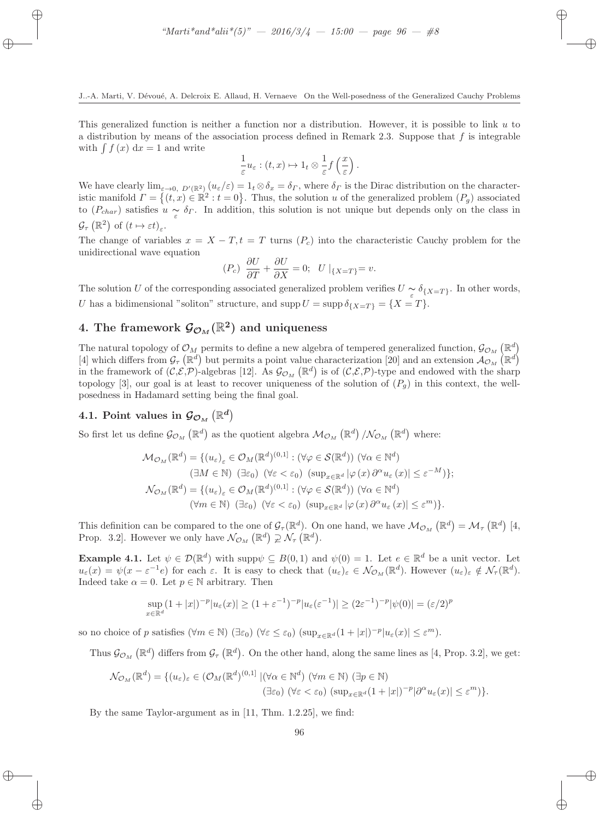This generalized function is neither a function nor a distribution. However, it is possible to link  $u$  to a distribution by means of the association process defined in Remark 2.3. Suppose that  $f$  is integrable with  $\int f(x) dx = 1$  and write

$$
\frac{1}{\varepsilon}u_{\varepsilon}:(t,x)\mapsto 1_t\otimes \frac{1}{\varepsilon}f\left(\frac{x}{\varepsilon}\right).
$$

We have clearly  $\lim_{\varepsilon\to 0, D'(\mathbb{R}^2)} (u_{\varepsilon}/\varepsilon) = 1_t \otimes \delta_x = \delta_\Gamma$ , where  $\delta_\Gamma$  is the Dirac distribution on the characteristic manifold  $\Gamma = \{(t, x) \in \mathbb{R}^2 : t = 0\}$ . Thus, the solution u of the generalized problem  $(P_g)$  associated to  $(P_{char})$  satisfies  $u \sim \delta_{\Gamma}$ . In addition, this solution is not unique but depends only on the class in  $\mathcal{G}_{\tau}\left(\mathbb{R}^2\right)$  of  $(t \mapsto \varepsilon t)_{\varepsilon}$ .

The change of variables  $x = X - T$ ,  $t = T$  turns  $(P<sub>c</sub>)$  into the characteristic Cauchy problem for the unidirectional wave equation

$$
(P_c)\ \frac{\partial U}{\partial T} + \frac{\partial U}{\partial X} = 0; \ \ U\mid_{\{X=T\}} = v.
$$

The solution U of the corresponding associated generalized problem verifies  $U \sim \delta_{\{X=T\}}$ . In other words, U has a bidimensional "soliton" structure, and  $\text{supp } U = \text{supp } \delta_{\{X=T\}} = \{X = T\}.$ 

# 4. The framework  $\mathcal{G}_{\mathcal{O}_M}(\mathbb{R}^2)$  and uniqueness

The natural topology of  $\mathcal{O}_M$  permits to define a new algebra of tempered generalized function,  $\mathcal{G}_{\mathcal{O}_M}(\mathbb{R}^d)$ [4] which differs from  $\mathcal{G}_{\tau}(\mathbb{R}^d)$  but permits a point value characterization [20] and an extension  $\mathcal{A}_{\mathcal{O}_M}(\mathbb{R}^d)$ in the framework of  $(C, \mathcal{E}, \mathcal{P})$ -algebras [12]. As  $\mathcal{G}_{\mathcal{O}_M}(\mathbb{R}^d)$  is of  $(C, \mathcal{E}, \mathcal{P})$ -type and endowed with the sharp topology [3], our goal is at least to recover uniqueness of the solution of  $(P_q)$  in this context, the wellposedness in Hadamard setting being the final goal.

# 4.1. Point values in  $\mathcal{G}_{\mathcal{O}_M}\left(\mathbb{R}^d\right)$

So first let us define  $\mathcal{G}_{\mathcal{O}_M}(\mathbb{R}^d)$  as the quotient algebra  $\mathcal{M}_{\mathcal{O}_M}(\mathbb{R}^d)/\mathcal{N}_{\mathcal{O}_M}(\mathbb{R}^d)$  where:

$$
\mathcal{M}_{\mathcal{O}_M}(\mathbb{R}^d) = \{ (u_{\varepsilon})_{\varepsilon} \in \mathcal{O}_M(\mathbb{R}^d)^{(0,1]} : (\forall \varphi \in \mathcal{S}(\mathbb{R}^d)) \ (\forall \alpha \in \mathbb{N}^d)
$$
  
\n
$$
(\exists M \in \mathbb{N}) \ (\exists \varepsilon_0) \ (\forall \varepsilon < \varepsilon_0) \ (\sup_{x \in \mathbb{R}^d} |\varphi(x) \partial^\alpha u_{\varepsilon}(x)| \leq \varepsilon^{-M}) \};
$$
  
\n
$$
\mathcal{N}_{\mathcal{O}_M}(\mathbb{R}^d) = \{ (u_{\varepsilon})_{\varepsilon} \in \mathcal{O}_M(\mathbb{R}^d)^{(0,1]} : (\forall \varphi \in \mathcal{S}(\mathbb{R}^d)) \ (\forall \alpha \in \mathbb{N}^d)
$$
  
\n
$$
(\forall m \in \mathbb{N}) \ (\exists \varepsilon_0) \ (\forall \varepsilon < \varepsilon_0) \ (\sup_{x \in \mathbb{R}^d} |\varphi(x) \partial^\alpha u_{\varepsilon}(x)| \leq \varepsilon^m ) \}.
$$

This definition can be compared to the one of  $\mathcal{G}_{\tau}(\mathbb{R}^d)$ . On one hand, we have  $\mathcal{M}_{\mathcal{O}_M}(\mathbb{R}^d) = \mathcal{M}_{\tau}(\mathbb{R}^d)$  [4, Prop. 3.2]. However we only have  $\mathcal{N}_{\mathcal{O}_M}(\mathbb{R}^d) \supsetneq \mathcal{N}_{\tau}(\mathbb{R}^d)$ .

**Example 4.1.** Let  $\psi \in \mathcal{D}(\mathbb{R}^d)$  with supp $\psi \subseteq B(0,1)$  and  $\psi(0) = 1$ . Let  $e \in \mathbb{R}^d$  be a unit vector. Let  $u_{\varepsilon}(x) = \psi(x - \varepsilon^{-1}e)$  for each  $\varepsilon$ . It is easy to check that  $(u_{\varepsilon})_{\varepsilon} \in \mathcal{N}_{\mathcal{O}_M}(\mathbb{R}^d)$ . However  $(u_{\varepsilon})_{\varepsilon} \notin \mathcal{N}_{\tau}(\mathbb{R}^d)$ . Indeed take  $\alpha = 0$ . Let  $p \in \mathbb{N}$  arbitrary. Then

$$
\sup_{x \in \mathbb{R}^d} (1+|x|)^{-p} |u_{\varepsilon}(x)| \ge (1+\varepsilon^{-1})^{-p} |u_{\varepsilon}(\varepsilon^{-1})| \ge (2\varepsilon^{-1})^{-p} |\psi(0)| = (\varepsilon/2)^p
$$

so no choice of p satisfies  $(\forall m \in \mathbb{N})$   $(\exists \varepsilon_0)$   $(\forall \varepsilon \leq \varepsilon_0)$   $(\sup_{x \in \mathbb{R}^d} (1 + |x|)^{-p} |u_{\varepsilon}(x)| \leq \varepsilon^m)$ .

Thus  $\mathcal{G}_{\mathcal{O}_M}(\mathbb{R}^d)$  differs from  $\mathcal{G}_{\tau}(\mathbb{R}^d)$ . On the other hand, along the same lines as [4, Prop. 3.2], we get:

$$
\mathcal{N}_{\mathcal{O}_M}(\mathbb{R}^d) = \{ (u_{\varepsilon})_{\varepsilon} \in (\mathcal{O}_M(\mathbb{R}^d)^{(0,1]} \mid (\forall \alpha \in \mathbb{N}^d) (\forall m \in \mathbb{N}) \; (\exists p \in \mathbb{N})
$$
  

$$
(\exists \varepsilon_0) (\forall \varepsilon < \varepsilon_0) (\sup_{x \in \mathbb{R}^d} (1+|x|)^{-p} |\partial^{\alpha} u_{\varepsilon}(x)| \le \varepsilon^m) \}.
$$

By the same Taylor-argument as in [11, Thm. 1.2.25], we find: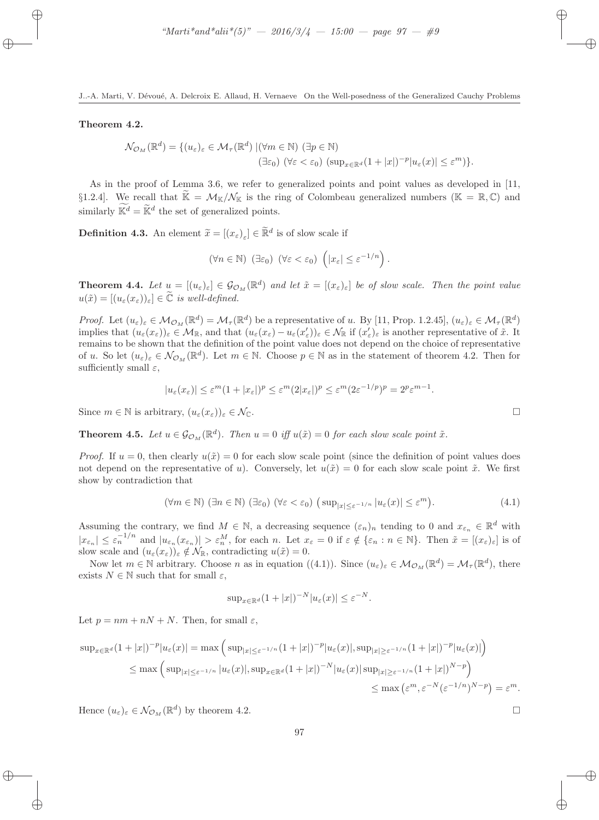#### Theorem 4.2.

$$
\mathcal{N}_{\mathcal{O}_M}(\mathbb{R}^d) = \{ (u_{\varepsilon})_{\varepsilon} \in \mathcal{M}_{\tau}(\mathbb{R}^d) \mid (\forall m \in \mathbb{N}) \ (\exists p \in \mathbb{N}) \ (\exists p \in \mathbb{N}) \ (\forall \varepsilon < \varepsilon_0) \ (\sup_{x \in \mathbb{R}^d} (1 + |x|)^{-p} |u_{\varepsilon}(x)| \leq \varepsilon^m) \}.
$$

As in the proof of Lemma 3.6, we refer to generalized points and point values as developed in [11, §1.2.4]. We recall that  $\widetilde{\mathbb{K}} = \mathcal{M}_{\mathbb{K}}/\mathcal{N}_{\mathbb{K}}$  is the ring of Colombeau generalized numbers ( $\mathbb{K} = \mathbb{R}, \mathbb{C}$ ) and similarly  $\mathbb{K}^d = \mathbb{K}^d$  the set of generalized points.

**Definition 4.3.** An element  $\widetilde{x} = [(x_{\varepsilon})_{\varepsilon}] \in \mathbb{R}^d$  is of slow scale if

$$
(\forall n \in \mathbb{N}) \ (\exists \varepsilon_0) \ (\forall \varepsilon < \varepsilon_0) \ \left( |x_{\varepsilon}| \leq \varepsilon^{-1/n} \right).
$$

**Theorem 4.4.** Let  $u = [(u_{\varepsilon})_{\varepsilon}] \in \mathcal{G}_{\mathcal{O}_M}(\mathbb{R}^d)$  and let  $\tilde{x} = [(x_{\varepsilon})_{\varepsilon}]$  be of slow scale. Then the point value  $u(\tilde{x}) = [(u_{\varepsilon}(x_{\varepsilon}))_{\varepsilon}] \in \tilde{\mathbb{C}} \text{ is well-defined.}$ 

Proof. Let  $(u_{\varepsilon})_{\varepsilon} \in M_{\mathcal{O}_M}(\mathbb{R}^d) = M_{\tau}(\mathbb{R}^d)$  be a representative of u. By [11, Prop. 1.2.45],  $(u_{\varepsilon})_{\varepsilon} \in \mathcal{M}_{\tau}(\mathbb{R}^d)$ implies that  $(u_\varepsilon(x_\varepsilon))_\varepsilon \in \mathcal{M}_{\mathbb{R}}$ , and that  $(u_\varepsilon(x_\varepsilon) - u_\varepsilon(x'_\varepsilon))_\varepsilon \in \mathcal{N}_{\mathbb{R}}$  if  $(x'_\varepsilon)_\varepsilon$  is another representative of  $\tilde{x}$ . It remains to be shown that the definition of the point value does not depend on the choice of representative of u. So let  $(u_{\varepsilon})_{\varepsilon} \in \mathcal{N}_{\mathcal{O}_M}(\mathbb{R}^d)$ . Let  $m \in \mathbb{N}$ . Choose  $p \in \mathbb{N}$  as in the statement of theorem 4.2. Then for sufficiently small  $\varepsilon$ ,

$$
|u_{\varepsilon}(x_{\varepsilon})| \leq \varepsilon^{m} (1+|x_{\varepsilon}|)^{p} \leq \varepsilon^{m} (2|x_{\varepsilon}|)^{p} \leq \varepsilon^{m} (2\varepsilon^{-1/p})^{p} = 2^{p} \varepsilon^{m-1}.
$$

Since  $m \in \mathbb{N}$  is arbitrary,  $(u_{\varepsilon}(x_{\varepsilon}))_{\varepsilon} \in \mathcal{N}_{\mathbb{C}}$ .

**Theorem 4.5.** Let  $u \in \mathcal{G}_{\mathcal{O}_M}(\mathbb{R}^d)$ . Then  $u = 0$  iff  $u(\tilde{x}) = 0$  for each slow scale point  $\tilde{x}$ .

*Proof.* If  $u = 0$ , then clearly  $u(\tilde{x}) = 0$  for each slow scale point (since the definition of point values does not depend on the representative of u). Conversely, let  $u(\tilde{x}) = 0$  for each slow scale point  $\tilde{x}$ . We first show by contradiction that

$$
(\forall m \in \mathbb{N}) \ (\exists n \in \mathbb{N}) \ (\exists \varepsilon_0) \ (\forall \varepsilon < \varepsilon_0) \ (\sup_{|x| \le \varepsilon^{-1/n}} |u_{\varepsilon}(x)| \le \varepsilon^m). \tag{4.1}
$$

Assuming the contrary, we find  $M \in \mathbb{N}$ , a decreasing sequence  $(\varepsilon_n)_n$  tending to 0 and  $x_{\varepsilon_n} \in \mathbb{R}^d$  with  $|x_{\varepsilon_n}| \leq \varepsilon_n^{-1/n}$  and  $|u_{\varepsilon_n}(x_{\varepsilon_n})| > \varepsilon_n^M$ , for each n. Let  $x_{\varepsilon} = 0$  if  $\varepsilon \notin {\varepsilon_n : n \in \mathbb{N}}$ . Then  $\tilde{x} = [(x_{\varepsilon})_{\varepsilon}]$  is of slow scale and  $(u_{\varepsilon}(x_{\varepsilon}))_{\varepsilon} \notin \mathcal{N}_{\mathbb{R}}$ , contradicting  $u(\tilde{x}) = 0$ .

Now let  $m \in \mathbb{N}$  arbitrary. Choose n as in equation  $((4.1))$ . Since  $(u_{\varepsilon})_{\varepsilon} \in M_{\mathcal{O}_M}(\mathbb{R}^d) = M_{\tau}(\mathbb{R}^d)$ , there exists  $N \in \mathbb{N}$  such that for small  $\varepsilon$ ,

$$
\sup_{x \in \mathbb{R}^d} (1+|x|)^{-N} |u_{\varepsilon}(x)| \leq \varepsilon^{-N}.
$$

Let  $p = nm + nN + N$ . Then, for small  $\varepsilon$ ,

$$
\sup_{x \in \mathbb{R}^d} (1+|x|)^{-p} |u_{\varepsilon}(x)| = \max \left( \sup_{|x| \le \varepsilon^{-1/n}} (1+|x|)^{-p} |u_{\varepsilon}(x)|, \sup_{|x| \ge \varepsilon^{-1/n}} (1+|x|)^{-p} |u_{\varepsilon}(x)| \right)
$$
  

$$
\le \max \left( \sup_{|x| \le \varepsilon^{-1/n}} |u_{\varepsilon}(x)|, \sup_{x \in \mathbb{R}^d} (1+|x|)^{-N} |u_{\varepsilon}(x)| \sup_{|x| \ge \varepsilon^{-1/n}} (1+|x|)^{N-p} \right)
$$
  

$$
\le \max \left( \varepsilon^m, \varepsilon^{-N} (\varepsilon^{-1/n})^{N-p} \right) = \varepsilon^m.
$$

Hence  $(u_{\varepsilon})_{\varepsilon} \in \mathcal{N}_{\mathcal{O}_M}(\mathbb{R}^d)$  by theorem 4.2.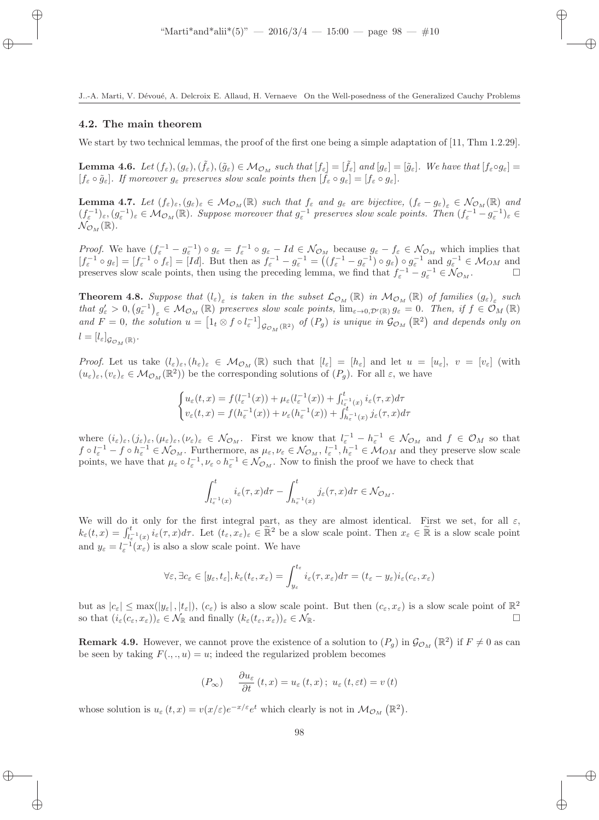#### 4.2. The main theorem

We start by two technical lemmas, the proof of the first one being a simple adaptation of [11, Thm 1.2.29].

**Lemma 4.6.** Let  $(f_{\varepsilon}), (g_{\varepsilon}),(\tilde{f}_{\varepsilon}),(\tilde{g}_{\varepsilon}) \in \mathcal{M}_{\mathcal{O}_M}$  such that  $[f_{\varepsilon}] = [\tilde{f}_{\varepsilon}]$  and  $[g_{\varepsilon}] = [\tilde{g}_{\varepsilon}]$ . We have that  $[f_{\varepsilon} \circ g_{\varepsilon}] =$  $[f_{\varepsilon} \circ \tilde{g}_{\varepsilon}]$ . If moreover  $g_{\varepsilon}$  preserves slow scale points then  $[\tilde{f}_{\varepsilon} \circ g_{\varepsilon}] = [f_{\varepsilon} \circ g_{\varepsilon}]$ .

**Lemma 4.7.** Let  $(f_{\varepsilon})_{\varepsilon}, (g_{\varepsilon})_{\varepsilon} \in M_{\mathcal{O}_M}(\mathbb{R})$  such that  $f_{\varepsilon}$  and  $g_{\varepsilon}$  are bijective,  $(f_{\varepsilon} - g_{\varepsilon})_{\varepsilon} \in \mathcal{N}_{\mathcal{O}_M}(\mathbb{R})$  and  $(f_{\varepsilon}^{-1})_{\varepsilon}, (g_{\varepsilon}^{-1})_{\varepsilon} \in M_{\mathcal{O}_M}(\mathbb{R})$ . Suppose moreover that  $g_{\varepsilon}^{-1}$  preserves slow scale points. Then  $(f_{\varepsilon}^{-1} - g_{\varepsilon}^{-1})_{\varepsilon} \in$  $\mathcal{N}_{\mathcal{O}_M}(\mathbb{R}).$ 

*Proof.* We have  $(f_{\varepsilon}^{-1} - g_{\varepsilon}^{-1}) \circ g_{\varepsilon} = f_{\varepsilon}^{-1} \circ g_{\varepsilon} - Id \in \mathcal{N}_{\mathcal{O}_M}$  because  $g_{\varepsilon} - f_{\varepsilon} \in \mathcal{N}_{\mathcal{O}_M}$  which implies that  $[f_{\varepsilon}^{-1} \circ g_{\varepsilon}] = [f_{\varepsilon}^{-1} \circ f_{\varepsilon}] = [Id]$ . But then as  $f_{\varepsilon}^{-1} - g_{\varepsilon}^{-1} = ((f_{\varepsilon}^{-1} - g_{\varepsilon}^{-1}) \circ g_{\varepsilon}) \circ g_{\varepsilon}^{-1}$  and  $g_{\varepsilon}^{-1} \in \mathcal{M}_{OM}$  and preserves slow scale points, then using the preceding lemma, we find that  $f_{\varepsilon}^{-1} - g_{\varepsilon}^{-1} \in \mathcal{N}_{\mathcal{O}_M}$ .

**Theorem 4.8.** Suppose that  $(l_{\varepsilon})_{\varepsilon}$  is taken in the subset  $\mathcal{L}_{\mathcal{O}_M}(\mathbb{R})$  in  $\mathcal{M}_{\mathcal{O}_M}(\mathbb{R})$  of families  $(g_{\varepsilon})_{\varepsilon}$  such that  $g'_{\varepsilon} > 0$ ,  $(g_{\varepsilon}^{-1})_{\varepsilon} \in M_{\mathcal{O}_M}(\mathbb{R})$  preserves slow scale points,  $\lim_{\varepsilon \to 0, \mathcal{D}'(\mathbb{R})} g_{\varepsilon} = 0$ . Then, if  $f \in \mathcal{O}_M(\mathbb{R})$ and  $F = 0$ , the solution  $u = \left[1_t \otimes f \circ l_{\varepsilon}^{-1}\right]_{\mathcal{G}_{\mathcal{O}_M}(\mathbb{R}^2)}$  of  $(P_g)$  is unique in  $\mathcal{G}_{\mathcal{O}_M}(\mathbb{R}^2)$  and depends only on  $l=[l_{\varepsilon}]_{\mathcal{G}_{\mathcal{O}_M}(\mathbb{R})}.$ 

Proof. Let us take  $(l_{\varepsilon})_{\varepsilon},(h_{\varepsilon})_{\varepsilon} \in \mathcal{M}_{\mathcal{O}_M}(\mathbb{R})$  such that  $[l_{\varepsilon}] = [h_{\varepsilon}]$  and let  $u = [u_{\varepsilon}], v = [v_{\varepsilon}]$  (with  $(u_{\varepsilon})_{\varepsilon},(v_{\varepsilon})_{\varepsilon} \in M_{\mathcal{O}_M}(\mathbb{R}^2)$  be the corresponding solutions of  $(P_g)$ . For all  $\varepsilon$ , we have

$$
\begin{cases} u_{\varepsilon}(t,x) = f(l_{\varepsilon}^{-1}(x)) + \mu_{\varepsilon}(l_{\varepsilon}^{-1}(x)) + \int_{l_{\varepsilon}^{-1}(x)}^{t} i_{\varepsilon}(\tau,x) d\tau \\ v_{\varepsilon}(t,x) = f(h_{\varepsilon}^{-1}(x)) + \nu_{\varepsilon}(h_{\varepsilon}^{-1}(x)) + \int_{h_{\varepsilon}^{-1}(x)}^{t} j_{\varepsilon}(\tau,x) d\tau \end{cases}
$$

where  $(i_{\varepsilon})_{\varepsilon}, (j_{\varepsilon})_{\varepsilon}, (\mu_{\varepsilon})_{\varepsilon}, (\nu_{\varepsilon})_{\varepsilon} \in \mathcal{N}_{\mathcal{O}_M}$ . First we know that  $l_{\varepsilon}^{-1} - h_{\varepsilon}^{-1} \in \mathcal{N}_{\mathcal{O}_M}$  and  $f \in \mathcal{O}_M$  so that  $f \circ l_{\varepsilon}^{-1} - f \circ h_{\varepsilon}^{-1} \in \mathcal{N}_{\mathcal{O}_M}$ . Furthermore, as  $\mu_{\varepsilon}, \nu_{\varepsilon} \in \mathcal{N}_{\mathcal{O}_M}$ ,  $l_{\varepsilon}^{-1}, h_{\varepsilon}^{-1} \in \mathcal{M}_{OM}$  and they preserve slow scale points, we have that  $\mu_{\varepsilon} \circ l_{\varepsilon}^{-1}, \nu_{\varepsilon} \circ h_{\varepsilon}^{-1} \in \mathcal{N}_{\mathcal{O}_M}$ . Now to finish the proof we have to check that

$$
\int_{l_{\varepsilon}^{-1}(x)}^{t} i_{\varepsilon}(\tau,x) d\tau - \int_{h_{\varepsilon}^{-1}(x)}^{t} j_{\varepsilon}(\tau,x) d\tau \in \mathcal{N}_{\mathcal{O}_M}.
$$

We will do it only for the first integral part, as they are almost identical. First we set, for all  $\varepsilon$ ,  $k_{\varepsilon}(t,x) = \int_{l_{\varepsilon}^{-1}(x)}^{t} i_{\varepsilon}(\tau,x) d\tau$ . Let  $(t_{\varepsilon},x_{\varepsilon})_{\varepsilon} \in \widetilde{\mathbb{R}}^2$  be a slow scale point. Then  $x_{\varepsilon} \in \widetilde{\mathbb{R}}$  is a slow scale point and  $y_{\varepsilon} = l_{\varepsilon}^{-1}(x_{\varepsilon})$  is also a slow scale point. We have

$$
\forall \varepsilon, \exists c_{\varepsilon} \in [y_{\varepsilon}, t_{\varepsilon}], k_{\varepsilon}(t_{\varepsilon}, x_{\varepsilon}) = \int_{y_{\varepsilon}}^{t_{\varepsilon}} i_{\varepsilon}(\tau, x_{\varepsilon}) d\tau = (t_{\varepsilon} - y_{\varepsilon}) i_{\varepsilon}(c_{\varepsilon}, x_{\varepsilon})
$$

but as  $|c_{\varepsilon}| \le \max(|y_{\varepsilon}|, |t_{\varepsilon}|), (c_{\varepsilon})$  is also a slow scale point. But then  $(c_{\varepsilon}, x_{\varepsilon})$  is a slow scale point of  $\mathbb{R}^2$ so that  $(i_{\varepsilon}(c_{\varepsilon}, x_{\varepsilon}))_{\varepsilon} \in \mathcal{N}_{\mathbb{R}}$  and finally  $(k_{\varepsilon}(t_{\varepsilon}, x_{\varepsilon}))_{\varepsilon} \in \mathcal{N}_{\mathbb{R}}$ .

**Remark 4.9.** However, we cannot prove the existence of a solution to  $(P_g)$  in  $\mathcal{G}_{\mathcal{O}_M}(\mathbb{R}^2)$  if  $F \neq 0$  as can be seen by taking  $F(.,.,u) = u$ ; indeed the regularized problem becomes

$$
(P_{\infty}) \qquad \frac{\partial u_{\varepsilon}}{\partial t}(t,x) = u_{\varepsilon}(t,x); \ u_{\varepsilon}(t,\varepsilon t) = v(t)
$$

whose solution is  $u_{\varepsilon}(t,x) = v(x/\varepsilon)e^{-x/\varepsilon}e^t$  which clearly is not in  $\mathcal{M}_{\mathcal{O}_M}(\mathbb{R}^2)$ .